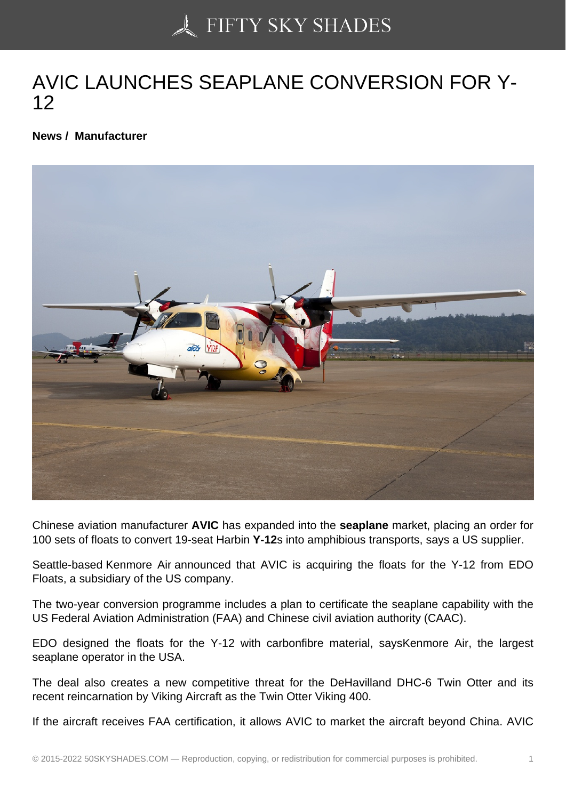## [AVIC LAUNCHES SEA](https://50skyshades.com)PLANE CONVERSION FOR Y-12

News / Manufacturer

Chinese aviation manufacturer AVIC has expanded into the seaplane market, placing an order for 100 sets of floats to convert 19-seat Harbin Y-12s into amphibious transports, says a US supplier.

Seattle-based Kenmore Air announced that AVIC is acquiring the floats for the Y-12 from EDO Floats, a subsidiary of the US company.

The two-year conversion programme includes a plan to certificate the seaplane capability with the US Federal Aviation Administration (FAA) and Chinese civil aviation authority (CAAC).

EDO designed the floats for the Y-12 with carbonfibre material, saysKenmore Air, the largest seaplane operator in the USA.

The deal also creates a new competitive threat for the DeHavilland DHC-6 Twin Otter and its recent reincarnation by Viking Aircraft as the Twin Otter Viking 400.

If the aircraft receives FAA certification, it allows AVIC to market the aircraft beyond China. AVIC